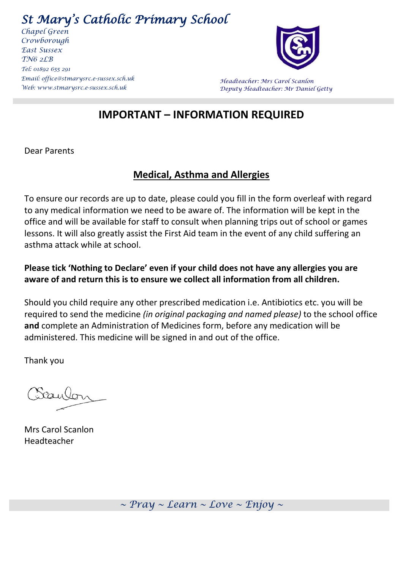*St Mary's Catholic Primary School* 

*Chapel Green Crowborough East Sussex TN6 2LB Tel: 01892 655 291 Email: [office@stmarysrc.e-sussex.sch.uk](mailto:office@stmarysrc.e-sussex.sch.uk) Web[: www.stmarysrc.e-sussex.sch.uk](http://www.stmarysrc.e-sussex.sch.uk/)*



*Headteacher: Mrs Carol Scanlon Deputy Headteacher: Mr Daniel Getty*

## **IMPORTANT – INFORMATION REQUIRED**

Dear Parents

## **Medical, Asthma and Allergies**

To ensure our records are up to date, please could you fill in the form overleaf with regard to any medical information we need to be aware of. The information will be kept in the office and will be available for staff to consult when planning trips out of school or games lessons. It will also greatly assist the First Aid team in the event of any child suffering an asthma attack while at school.

## **Please tick 'Nothing to Declare' even if your child does not have any allergies you are aware of and return this is to ensure we collect all information from all children.**

Should you child require any other prescribed medication i.e. Antibiotics etc. you will be required to send the medicine *(in original packaging and named please)* to the school office **and** complete an Administration of Medicines form, before any medication will be administered. This medicine will be signed in and out of the office.

Thank you

Caulon

Mrs Carol Scanlon Headteacher

*~ Pray ~ Learn ~ Love ~ Enjoy ~*